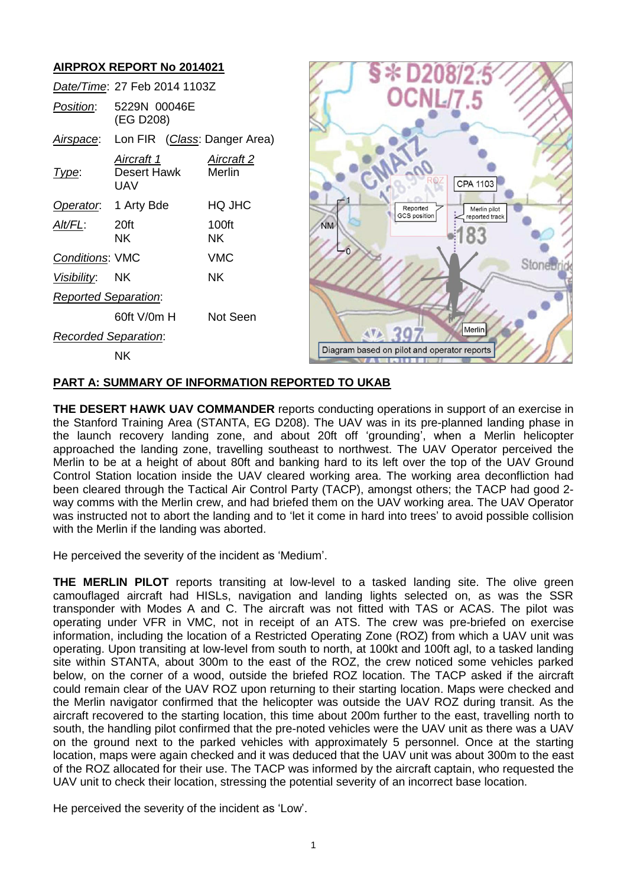

## **PART A: SUMMARY OF INFORMATION REPORTED TO UKAB**

**THE DESERT HAWK UAV COMMANDER** reports conducting operations in support of an exercise in the Stanford Training Area (STANTA, EG D208). The UAV was in its pre-planned landing phase in the launch recovery landing zone, and about 20ft off 'grounding', when a Merlin helicopter approached the landing zone, travelling southeast to northwest. The UAV Operator perceived the Merlin to be at a height of about 80ft and banking hard to its left over the top of the UAV Ground Control Station location inside the UAV cleared working area. The working area deconfliction had been cleared through the Tactical Air Control Party (TACP), amongst others; the TACP had good 2 way comms with the Merlin crew, and had briefed them on the UAV working area. The UAV Operator was instructed not to abort the landing and to 'let it come in hard into trees' to avoid possible collision with the Merlin if the landing was aborted.

He perceived the severity of the incident as 'Medium'.

**THE MERLIN PILOT** reports transiting at low-level to a tasked landing site. The olive green camouflaged aircraft had HISLs, navigation and landing lights selected on, as was the SSR transponder with Modes A and C. The aircraft was not fitted with TAS or ACAS. The pilot was operating under VFR in VMC, not in receipt of an ATS. The crew was pre-briefed on exercise information, including the location of a Restricted Operating Zone (ROZ) from which a UAV unit was operating. Upon transiting at low-level from south to north, at 100kt and 100ft agl, to a tasked landing site within STANTA, about 300m to the east of the ROZ, the crew noticed some vehicles parked below, on the corner of a wood, outside the briefed ROZ location. The TACP asked if the aircraft could remain clear of the UAV ROZ upon returning to their starting location. Maps were checked and the Merlin navigator confirmed that the helicopter was outside the UAV ROZ during transit. As the aircraft recovered to the starting location, this time about 200m further to the east, travelling north to south, the handling pilot confirmed that the pre-noted vehicles were the UAV unit as there was a UAV on the ground next to the parked vehicles with approximately 5 personnel. Once at the starting location, maps were again checked and it was deduced that the UAV unit was about 300m to the east of the ROZ allocated for their use. The TACP was informed by the aircraft captain, who requested the UAV unit to check their location, stressing the potential severity of an incorrect base location.

He perceived the severity of the incident as 'Low'.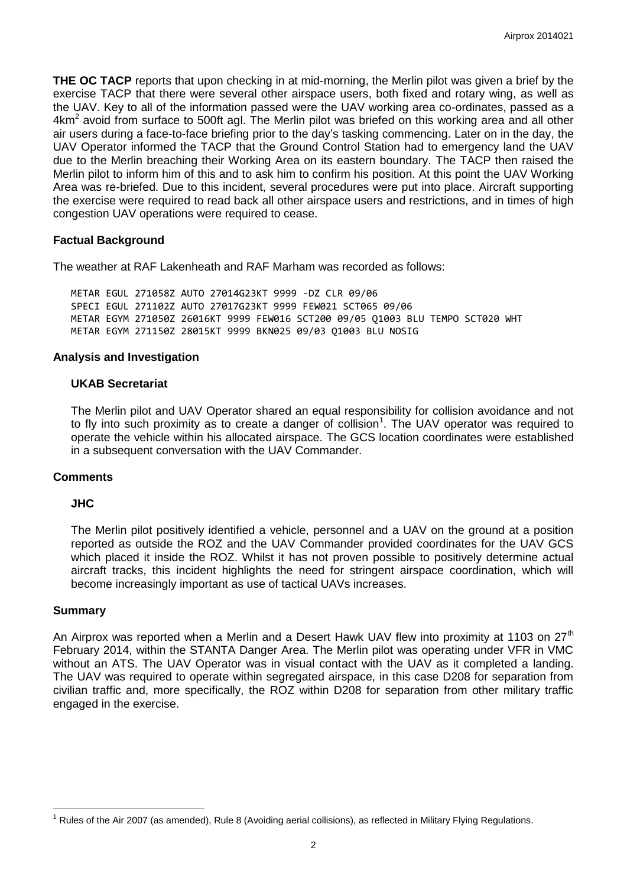**THE OC TACP** reports that upon checking in at mid-morning, the Merlin pilot was given a brief by the exercise TACP that there were several other airspace users, both fixed and rotary wing, as well as the UAV. Key to all of the information passed were the UAV working area co-ordinates, passed as a  $4$ km<sup>2</sup> avoid from surface to 500ft agl. The Merlin pilot was briefed on this working area and all other air users during a face-to-face briefing prior to the day's tasking commencing. Later on in the day, the UAV Operator informed the TACP that the Ground Control Station had to emergency land the UAV due to the Merlin breaching their Working Area on its eastern boundary. The TACP then raised the Merlin pilot to inform him of this and to ask him to confirm his position. At this point the UAV Working Area was re-briefed. Due to this incident, several procedures were put into place. Aircraft supporting the exercise were required to read back all other airspace users and restrictions, and in times of high congestion UAV operations were required to cease.

## **Factual Background**

The weather at RAF Lakenheath and RAF Marham was recorded as follows:

METAR EGUL 271058Z AUTO 27014G23KT 9999 -DZ CLR 09/06 SPECI EGUL 271102Z AUTO 27017G23KT 9999 FEW021 SCT065 09/06 METAR EGYM 271050Z 26016KT 9999 FEW016 SCT200 09/05 Q1003 BLU TEMPO SCT020 WHT METAR EGYM 271150Z 28015KT 9999 BKN025 09/03 Q1003 BLU NOSIG

### **Analysis and Investigation**

## **UKAB Secretariat**

The Merlin pilot and UAV Operator shared an equal responsibility for collision avoidance and not to fly into such proximity as to create a danger of collision<sup>1</sup>. The UAV operator was required to operate the vehicle within his allocated airspace. The GCS location coordinates were established in a subsequent conversation with the UAV Commander.

### **Comments**

### **JHC**

The Merlin pilot positively identified a vehicle, personnel and a UAV on the ground at a position reported as outside the ROZ and the UAV Commander provided coordinates for the UAV GCS which placed it inside the ROZ. Whilst it has not proven possible to positively determine actual aircraft tracks, this incident highlights the need for stringent airspace coordination, which will become increasingly important as use of tactical UAVs increases.

### **Summary**

 $\overline{a}$ 

An Airprox was reported when a Merlin and a Desert Hawk UAV flew into proximity at 1103 on  $27<sup>th</sup>$ February 2014, within the STANTA Danger Area. The Merlin pilot was operating under VFR in VMC without an ATS. The UAV Operator was in visual contact with the UAV as it completed a landing. The UAV was required to operate within segregated airspace, in this case D208 for separation from civilian traffic and, more specifically, the ROZ within D208 for separation from other military traffic engaged in the exercise.

 $1$  Rules of the Air 2007 (as amended), Rule 8 (Avoiding aerial collisions), as reflected in Military Flying Regulations.